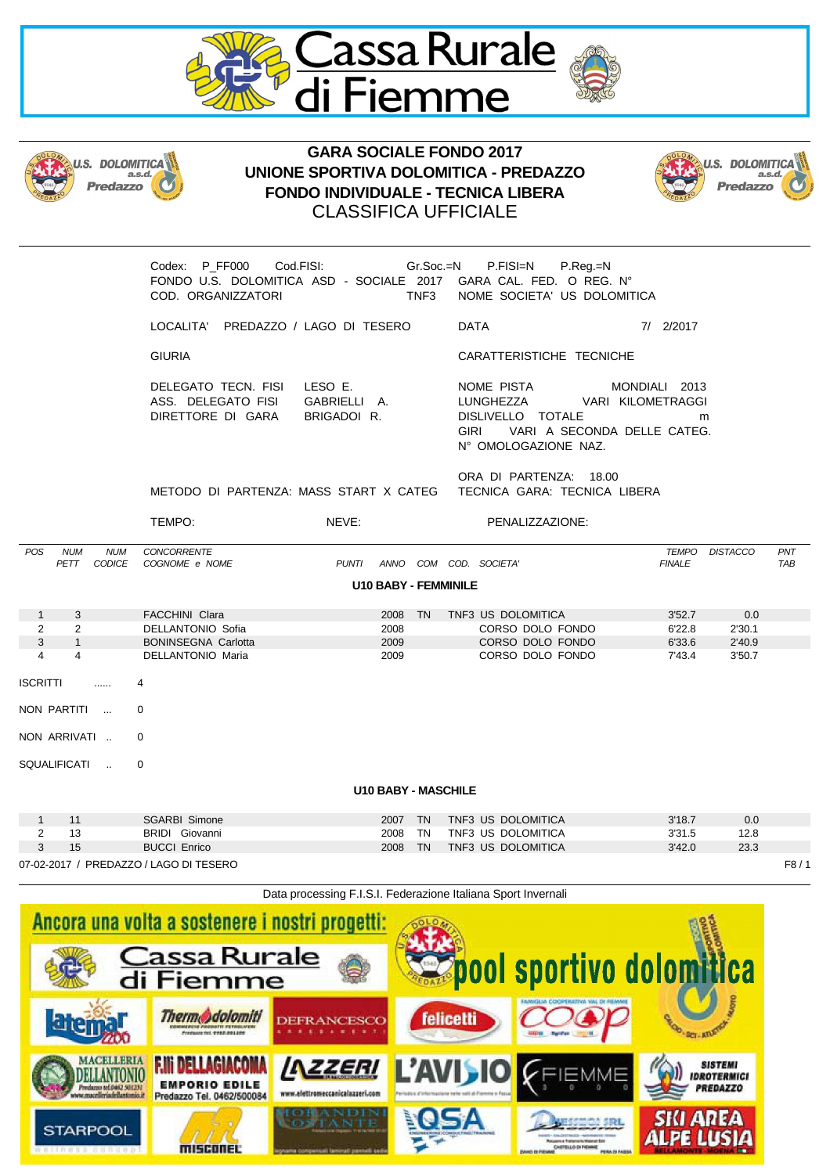



# **GARA SOCIALE FONDO 2017 UNIONE SPORTIVA DOLOMITICA - PREDAZZO FONDO INDIVIDUALE - TECNICA LIBERA** CLASSIFICA UFFICIALE



Codex: P\_FF000 Cod.FISI: Gr.Soc.=N P.FISI=N P.Reg.=N FONDO U.S. DOLOMITICA ASD - SOCIALE 2017 GARA CAL. FED. O REG. N° COD. ORGANIZZATORI TNF3 NOME SOCIETA' US DOLOMITICA

LOCALITA' PREDAZZO / LAGO DI TESERO DATA 7/ 2/2017

GIURIA CARATTERISTICHE TECNICHE

DELEGATO TECN. FISI LESO E. NOME PISTA MONDIALI 2013 ASS. DELEGATO FISI GABRIELLI A. LUNGHEZZA VARI KILOMETRAGGI DIRETTORE DI GARA BRIGADOI R. DISLIVELLO TOTALE m GIRI VARI A SECONDA DELLE CATEG. N° OMOLOGAZIONE NAZ.

ORA DI PARTENZA: 18.00

METODO DI PARTENZA: MASS START X CATEG TECNICA GARA: TECNICA LIBERA

| EMP<br>~ | NE<br>V<br>-- | DГ<br>٬۱٬<br>⊣ו∧ו<br>NΔ<br>$\epsilon$<br>. . |  |
|----------|---------------|----------------------------------------------|--|
|          |               |                                              |  |

| <b>POS</b> | <b>NUM</b><br><b>PETT</b> | <b>NUM</b><br><b>CODICE</b> | <b>CONCORRENTE</b><br>COGNOME e NOME | <b>PUNTI</b> | <b>ANNO</b>                 | <b>COM</b> | COD. | SOCIETA' | TEMPO<br><b>FINALE</b> | <b>DISTACCO</b> | PN <sub>1</sub><br><b>TAB</b> |
|------------|---------------------------|-----------------------------|--------------------------------------|--------------|-----------------------------|------------|------|----------|------------------------|-----------------|-------------------------------|
|            |                           |                             |                                      |              | <b>U10 BABY - FEMMINILE</b> |            |      |          |                        |                 |                               |

|  | <b>FACCHINI Clara</b>      | TN.<br>2008 | TNF3 US DOLOMITICA | 3'52.7 | 0.0    |  |
|--|----------------------------|-------------|--------------------|--------|--------|--|
|  | DELLANTONIO Sofia          | 2008        | CORSO DOLO FONDO   | 6'22.8 | 2'30.1 |  |
|  | <b>BONINSEGNA Carlotta</b> | 2009        | CORSO DOLO FONDO   | 6'33.6 | 2'40.9 |  |
|  | DELLANTONIO Maria          | 2009        | CORSO DOLO FONDO   | 7'43.4 | 3'50.7 |  |

ISCRITTI 4

NON PARTITI ... 0

NON ARRIVATI 0

SQUALIFICATI .. 0

**U10 BABY - MASCHILE**

| 11 | SGARBI Simone                          | 2007 | <b>TN</b> | TNF3 US DOLOMITICA | 3'18.7 | 0.0  |      |
|----|----------------------------------------|------|-----------|--------------------|--------|------|------|
| 13 | <b>BRIDI</b> Giovanni                  | 2008 | <b>TN</b> | TNF3 US DOLOMITICA | 3'31.5 | 12.8 |      |
| 15 | <b>BUCCI Enrico</b>                    | 2008 | <b>TN</b> | TNF3 US DOLOMITICA | 3'42.0 | 23.3 |      |
|    | 07-02-2017 / PREDAZZO / LAGO DI TESERO |      |           |                    |        |      | F8/1 |

Data processing F.I.S.I. Federazione Italiana Sport Invernali

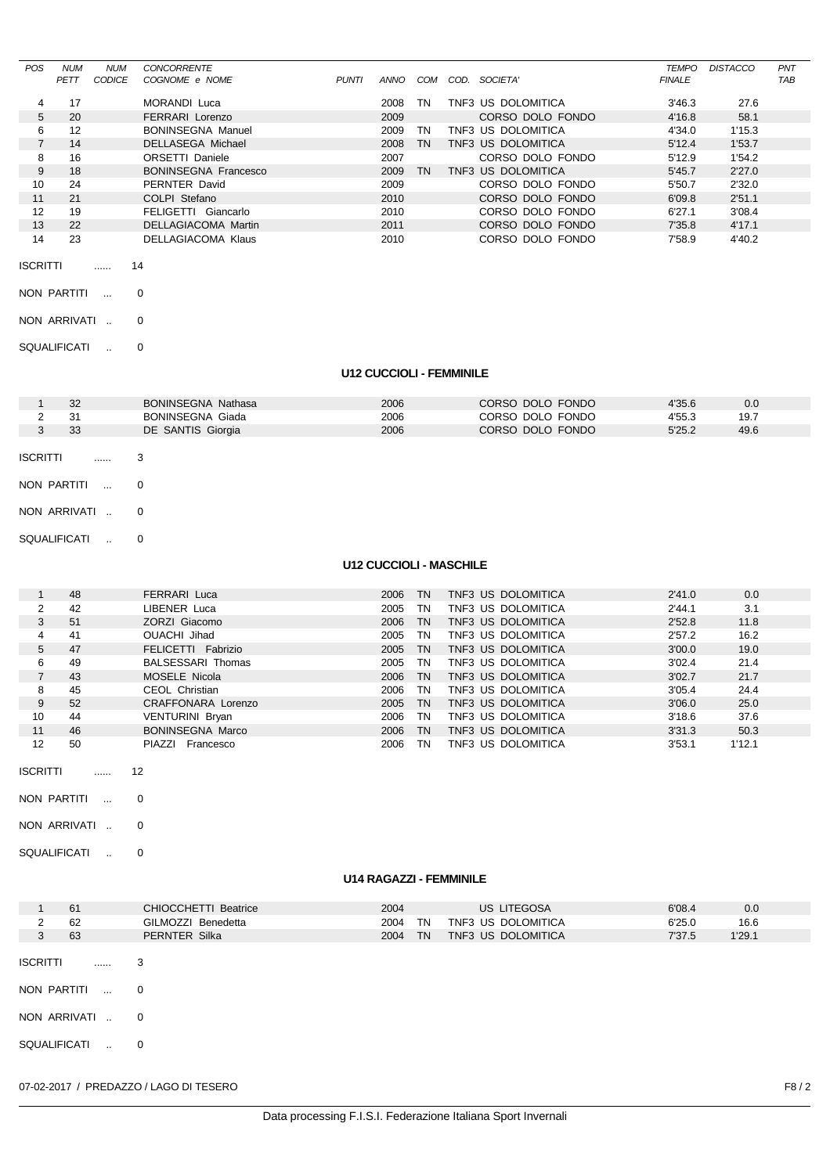| <b>POS</b>     | <b>NUM</b> | NUM           | <b>CONCORRENTE</b>          |              |             |     |      |                    | <b>TEMPO</b>  | <b>DISTACCO</b> | PNT        |
|----------------|------------|---------------|-----------------------------|--------------|-------------|-----|------|--------------------|---------------|-----------------|------------|
|                | PETT       | <b>CODICE</b> | COGNOME e NOME              | <b>PUNTI</b> | <b>ANNO</b> | COM | COD. | SOCIETA'           | <b>FINALE</b> |                 | <b>TAB</b> |
|                |            |               |                             |              |             |     |      |                    |               |                 |            |
| 4              | 17         |               | <b>MORANDI</b> Luca         |              | 2008        | ΤN  |      | TNF3 US DOLOMITICA | 3'46.3        | 27.6            |            |
| 5              | 20         |               | <b>FERRARI Lorenzo</b>      |              | 2009        |     |      | CORSO DOLO FONDO   | 4'16.8        | 58.1            |            |
| 6              | 12         |               | <b>BONINSEGNA Manuel</b>    |              | 2009        | TN  |      | TNF3 US DOLOMITICA | 4'34.0        | 1'15.3          |            |
| $\overline{7}$ | 14         |               | <b>DELLASEGA Michael</b>    |              | 2008        | TN  |      | TNF3 US DOLOMITICA | 5'12.4        | 1'53.7          |            |
| 8              | 16         |               | <b>ORSETTI Daniele</b>      |              | 2007        |     |      | CORSO DOLO FONDO   | 5'12.9        | 1'54.2          |            |
| 9              | 18         |               | <b>BONINSEGNA Francesco</b> |              | 2009        | TN  |      | TNF3 US DOLOMITICA | 5'45.7        | 2'27.0          |            |
| 10             | 24         |               | PERNTER David               |              | 2009        |     |      | CORSO DOLO FONDO   | 5'50.7        | 2'32.0          |            |
| 11             | 21         |               | COLPI Stefano               |              | 2010        |     |      | CORSO DOLO FONDO   | 6'09.8        | 2'51.1          |            |
| 12             | 19         |               | Giancarlo<br>FELIGETTI      |              | 2010        |     |      | CORSO DOLO FONDO   | 6'27.1        | 3'08.4          |            |
| 13             | 22         |               | <b>DELLAGIACOMA Martin</b>  |              | 2011        |     |      | CORSO DOLO FONDO   | 7'35.8        | 4'17.1          |            |
| 14             | 23         |               | DELLAGIACOMA Klaus          |              | 2010        |     |      | CORSO DOLO FONDO   | 7'58.9        | 4'40.2          |            |

ISCRITTI ...... 14

NON PARTITI ... 0

NON ARRIVATI .. 0

SQUALIFICATI .. 0

### **U12 CUCCIOLI - FEMMINILE**

| SQUALIFICATI    | $\sim$       | 0                  |      |                  |        |      |
|-----------------|--------------|--------------------|------|------------------|--------|------|
|                 | NON ARRIVATI | 0                  |      |                  |        |      |
| NON PARTITI     | $\mathbf{r}$ | $\mathbf 0$        |      |                  |        |      |
| <b>ISCRITTI</b> |              | 3                  |      |                  |        |      |
| 3               | 33           | DE SANTIS Giorgia  | 2006 | CORSO DOLO FONDO | 5'25.2 | 49.6 |
| $\overline{2}$  | 31           | BONINSEGNA Giada   | 2006 | CORSO DOLO FONDO | 4'55.3 | 19.7 |
|                 | 32           | BONINSEGNA Nathasa | 2006 | CORSO DOLO FONDO | 4'35.6 | 0.0  |
|                 |              |                    |      |                  |        |      |

#### **U12 CUCCIOLI - MASCHILE**

|    | 48 | <b>FERRARI Luca</b>      | 2006 | <b>TN</b> | TNF3 US DOLOMITICA | 2'41.0 | 0.0    |
|----|----|--------------------------|------|-----------|--------------------|--------|--------|
|    | 42 | LIBENER Luca             | 2005 | TN        | TNF3 US DOLOMITICA | 2'44.1 | 3.1    |
| 3  | 51 | ZORZI Giacomo            | 2006 | <b>TN</b> | TNF3 US DOLOMITICA | 2'52.8 | 11.8   |
| 4  | 41 | OUACHI Jihad             | 2005 | TN        | TNF3 US DOLOMITICA | 2'57.2 | 16.2   |
| 5  | 47 | FELICETTI Fabrizio       | 2005 | <b>TN</b> | TNF3 US DOLOMITICA | 3'00.0 | 19.0   |
| 6  | 49 | <b>BALSESSARI Thomas</b> | 2005 | TN        | TNF3 US DOLOMITICA | 3'02.4 | 21.4   |
|    | 43 | MOSELE Nicola            | 2006 | <b>TN</b> | TNF3 US DOLOMITICA | 3'02.7 | 21.7   |
| 8  | 45 | CEOL Christian           | 2006 | TN        | TNF3 US DOLOMITICA | 3'05.4 | 24.4   |
| 9  | 52 | CRAFFONARA Lorenzo       | 2005 | <b>TN</b> | TNF3 US DOLOMITICA | 3'06.0 | 25.0   |
| 10 | 44 | <b>VENTURINI Bryan</b>   | 2006 | TN        | TNF3 US DOLOMITICA | 3'18.6 | 37.6   |
| 11 | 46 | <b>BONINSEGNA Marco</b>  | 2006 | <b>TN</b> | TNF3 US DOLOMITICA | 3'31.3 | 50.3   |
| 12 | 50 | PIAZZI<br>Francesco      | 2006 | TN        | TNF3 US DOLOMITICA | 3'53.1 | 1'12.1 |

ISCRITTI ...... 12

NON PARTITI ... 0

NON ARRIVATI .. 0

SQUALIFICATI .. 0

### **U14 RAGAZZI - FEMMINILE**

|                 | 61                              | CHIOCCHETTI Beatrice | 2004 |           | US LITEGOSA        | 6'08.4 | 0.0    |
|-----------------|---------------------------------|----------------------|------|-----------|--------------------|--------|--------|
|                 | 62                              | GILMOZZI Benedetta   | 2004 | TN        | TNF3 US DOLOMITICA | 6'25.0 | 16.6   |
| 3               | 63                              | PERNTER Silka        | 2004 | <b>TN</b> | TNF3 US DOLOMITICA | 7'37.5 | 1'29.1 |
| <b>ISCRITTI</b> | <br>NON PARTITI<br>$\mathbf{r}$ | 0                    |      |           |                    |        |        |

NON ARRIVATI .. 0

SQUALIFICATI .. 0

07-02-2017 / PREDAZZO / LAGO DI TESERO F8 / 2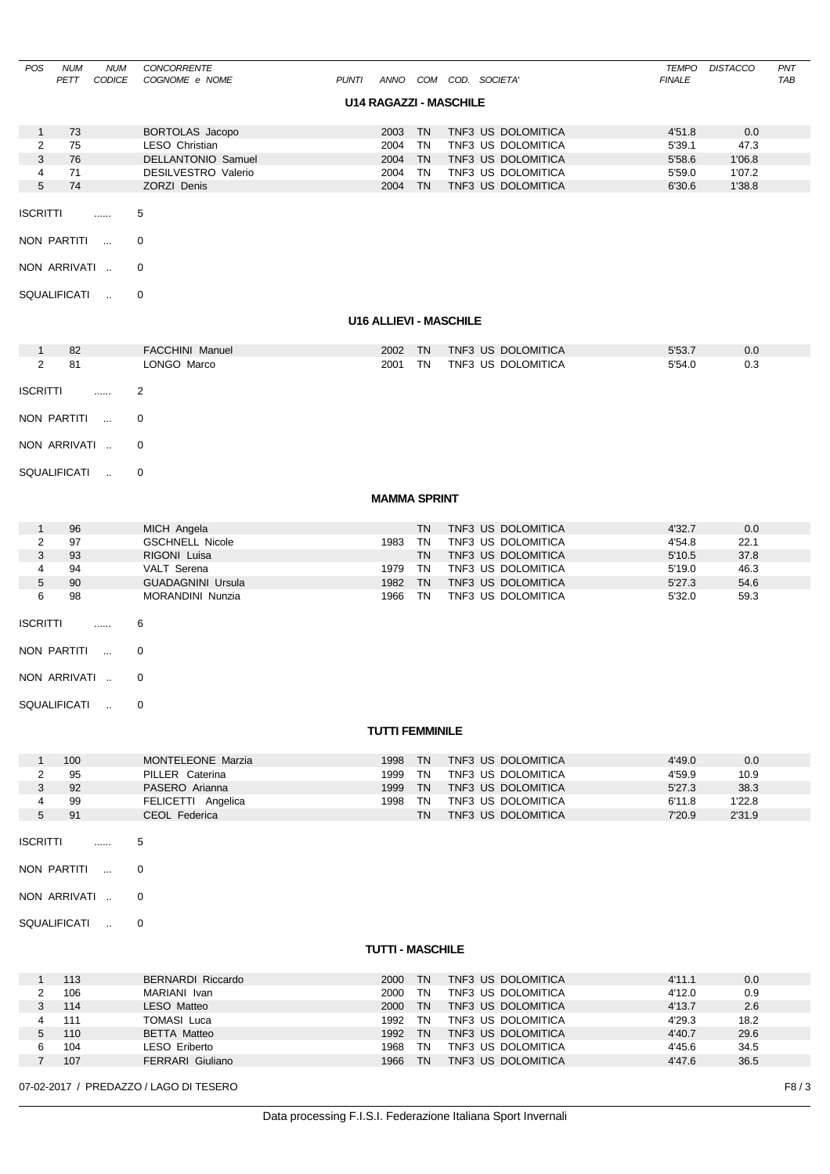| POS<br><b>NUM</b><br><b>NUM</b><br><b>CODICE</b><br>PETT | <b>CONCORRENTE</b><br>COGNOME e NOME | <b>PUNTI</b><br>ANNO          |           | COM COD. SOCIETA'  | <b>TEMPO</b><br><b>FINALE</b> | <b>DISTACCO</b> | PNT<br><b>TAB</b> |
|----------------------------------------------------------|--------------------------------------|-------------------------------|-----------|--------------------|-------------------------------|-----------------|-------------------|
|                                                          |                                      | <b>U14 RAGAZZI - MASCHILE</b> |           |                    |                               |                 |                   |
| $\mathbf{1}$<br>73                                       | <b>BORTOLAS Jacopo</b>               | 2003                          | <b>TN</b> | TNF3 US DOLOMITICA | 4'51.8                        | 0.0             |                   |
| $\overline{2}$<br>75                                     | LESO Christian                       | 2004                          | <b>TN</b> | TNF3 US DOLOMITICA | 5'39.1                        | 47.3            |                   |
| 3<br>76                                                  | <b>DELLANTONIO Samuel</b>            | 2004                          | TN        | TNF3 US DOLOMITICA | 5'58.6                        | 1'06.8          |                   |
| 4<br>71                                                  | DESILVESTRO Valerio                  | 2004                          | <b>TN</b> | TNF3 US DOLOMITICA | 5'59.0                        | 1'07.2          |                   |
| 5<br>74                                                  | <b>ZORZI Denis</b>                   | 2004                          | <b>TN</b> | TNF3 US DOLOMITICA | 6'30.6                        | 1'38.8          |                   |
| <b>ISCRITTI</b><br>                                      | 5                                    |                               |           |                    |                               |                 |                   |
| NON PARTITI<br>$\sim$                                    | 0                                    |                               |           |                    |                               |                 |                   |
| NON ARRIVATI                                             | 0                                    |                               |           |                    |                               |                 |                   |
| <b>SQUALIFICATI</b><br>$\sim$                            | 0                                    |                               |           |                    |                               |                 |                   |
|                                                          |                                      | <b>U16 ALLIEVI - MASCHILE</b> |           |                    |                               |                 |                   |
| 82<br>$\mathbf{1}$                                       | <b>FACCHINI Manuel</b>               | 2002                          | TN        | TNF3 US DOLOMITICA | 5'53.7                        | 0.0             |                   |
| $\overline{2}$<br>81                                     | LONGO Marco                          | 2001                          | <b>TN</b> | TNF3 US DOLOMITICA | 5'54.0                        | 0.3             |                   |
| <b>ISCRITTI</b><br>.                                     | 2                                    |                               |           |                    |                               |                 |                   |
| NON PARTITI<br>$\sim$                                    | 0                                    |                               |           |                    |                               |                 |                   |
| NON ARRIVATI                                             | 0                                    |                               |           |                    |                               |                 |                   |
| <b>SQUALIFICATI</b><br>$\ddotsc$                         | 0                                    |                               |           |                    |                               |                 |                   |
|                                                          |                                      | <b>MAMMA SPRINT</b>           |           |                    |                               |                 |                   |
| 96<br>$\mathbf{1}$                                       | MICH Angela                          |                               | <b>TN</b> | TNF3 US DOLOMITICA | 4'32.7                        | 0.0             |                   |
| 97<br>2                                                  | <b>GSCHNELL Nicole</b>               | 1983                          | <b>TN</b> | TNF3 US DOLOMITICA | 4'54.8                        | 22.1            |                   |
| 3<br>93                                                  | RIGONI Luisa                         |                               | <b>TN</b> | TNF3 US DOLOMITICA | 5'10.5                        | 37.8            |                   |
| $\overline{4}$<br>94                                     | <b>VALT</b> Serena                   | 1979                          | <b>TN</b> | TNF3 US DOLOMITICA | 5'19.0                        | 46.3            |                   |
| $\sqrt{5}$<br>90                                         | <b>GUADAGNINI Ursula</b>             | 1982                          | <b>TN</b> | TNF3 US DOLOMITICA | 5'27.3                        | 54.6            |                   |
| 6<br>98                                                  | <b>MORANDINI Nunzia</b>              | 1966                          | TN        | TNF3 US DOLOMITICA | 5'32.0                        | 59.3            |                   |
| <b>ISCRITTI</b><br>                                      | 6                                    |                               |           |                    |                               |                 |                   |
| NON PARTITI<br>$\cdots$                                  | 0                                    |                               |           |                    |                               |                 |                   |
| NON ARRIVATI                                             | 0                                    |                               |           |                    |                               |                 |                   |
| SQUALIFICATI<br>$\sim$                                   | 0                                    |                               |           |                    |                               |                 |                   |
|                                                          |                                      | <b>TUTTI FEMMINILE</b>        |           |                    |                               |                 |                   |
| 100<br>$\overline{1}$                                    | MONTELEONE Marzia                    | 1998                          | <b>TN</b> | TNF3 US DOLOMITICA | 4'49.0                        | 0.0             |                   |
| 95<br>2                                                  | PILLER Caterina                      | 1999 TN                       |           | TNF3 US DOLOMITICA | 4'59.9                        | 10.9            |                   |
| 3<br>92                                                  | PASERO Arianna                       | 1999                          | <b>TN</b> | TNF3 US DOLOMITICA | 5'27.3                        | 38.3            |                   |
| 99<br>4                                                  | FELICETTI Angelica                   | 1998                          | TN        | TNF3 US DOLOMITICA | 6'11.8                        | 1'22.8          |                   |
| 5<br>91                                                  | CEOL Federica                        |                               | <b>TN</b> | TNF3 US DOLOMITICA | 7'20.9                        | 2'31.9          |                   |
| <b>ISCRITTI</b><br>.                                     | 5                                    |                               |           |                    |                               |                 |                   |
| NON PARTITI<br>$\sim$                                    | 0                                    |                               |           |                    |                               |                 |                   |
| NON ARRIVATI                                             | 0                                    |                               |           |                    |                               |                 |                   |
| SQUALIFICATI<br>$\ddots$                                 | $\pmb{0}$                            |                               |           |                    |                               |                 |                   |

## **TUTTI - MASCHILE**

|       | 113 | <b>BERNARDI Riccardo</b> | 2000 | ΤN        | TNF3 US DOLOMITICA | 4'11.1 | 0.0  |
|-------|-----|--------------------------|------|-----------|--------------------|--------|------|
|       | 106 | MARIANI Ivan             | 2000 | ΤN        | TNF3 US DOLOMITICA | 4'12.0 | 0.9  |
|       | 114 | LESO Matteo              | 2000 | <b>TN</b> | TNF3 US DOLOMITICA | 4'13.7 | 2.6  |
| 4     | 111 | <b>TOMASI Luca</b>       | 1992 | TN        | TNF3 US DOLOMITICA | 4'29.3 | 18.2 |
| $5 -$ | 110 | <b>BETTA Matteo</b>      | 1992 | <b>TN</b> | TNF3 US DOLOMITICA | 4'40.7 | 29.6 |
| 6.    | 104 | LESO Eriberto            | 1968 | ΤN        | TNF3 US DOLOMITICA | 4'45.6 | 34.5 |
|       | 107 | <b>FERRARI Giuliano</b>  | 1966 | ΤN        | TNF3 US DOLOMITICA | 4'47.6 | 36.5 |
|       |     |                          |      |           |                    |        |      |

07-02-2017 / PREDAZZO / LAGO DI TESERO F8 / 3